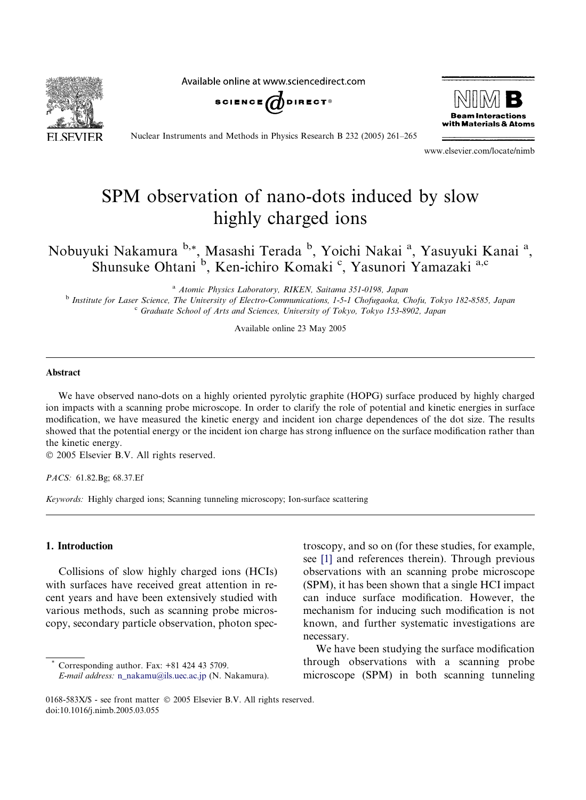SEVIER

Available online at www.sciencedirect.com





Nuclear Instruments and Methods in Physics Research B 232 (2005) 261–265

www.elsevier.com/locate/nimb

# SPM observation of nano-dots induced by slow highly charged ions

Nobuyuki Nakamura b,\*, Masashi Terada b, Yoichi Nakai <sup>a</sup>, Yasuyuki Kanai <sup>a</sup>, Shunsuke Ohtani <sup>b</sup>, Ken-ichiro Komaki <sup>c</sup>, Yasunori Yamazaki a,c

<sup>a</sup> Atomic Physics Laboratory, RIKEN, Saitama 351-0198, Japan

<sup>b</sup> Institute for Laser Science, The University of Electro-Communications, 1-5-1 Chofugaoka, Chofu, Tokyo 182-8585, Japan <sup>c</sup> Graduate School of Arts and Sciences, University of Tokyo, Tokyo 153-8902, Japan

Available online 23 May 2005

## Abstract

We have observed nano-dots on a highly oriented pyrolytic graphite (HOPG) surface produced by highly charged ion impacts with a scanning probe microscope. In order to clarify the role of potential and kinetic energies in surface modification, we have measured the kinetic energy and incident ion charge dependences of the dot size. The results showed that the potential energy or the incident ion charge has strong influence on the surface modification rather than the kinetic energy.

2005 Elsevier B.V. All rights reserved.

PACS: 61.82.Bg; 68.37.Ef

Keywords: Highly charged ions; Scanning tunneling microscopy; Ion-surface scattering

### 1. Introduction

Collisions of slow highly charged ions (HCIs) with surfaces have received great attention in recent years and have been extensively studied with various methods, such as scanning probe microscopy, secondary particle observation, photon spec-

Corresponding author. Fax: +81 424 43 5709. E-mail address: [n\\_nakamu@ils.uec.ac.jp](mailto:n_nakamu@ils.uec.ac.jp) (N. Nakamura). troscopy, and so on (for these studies, for example, see [\[1\]](#page-3-0) and references therein). Through previous observations with an scanning probe microscope (SPM), it has been shown that a single HCI impact can induce surface modification. However, the mechanism for inducing such modification is not known, and further systematic investigations are necessary.

We have been studying the surface modification through observations with a scanning probe microscope (SPM) in both scanning tunneling

<sup>0168-583</sup>X/\$ - see front matter © 2005 Elsevier B.V. All rights reserved. doi:10.1016/j.nimb.2005.03.055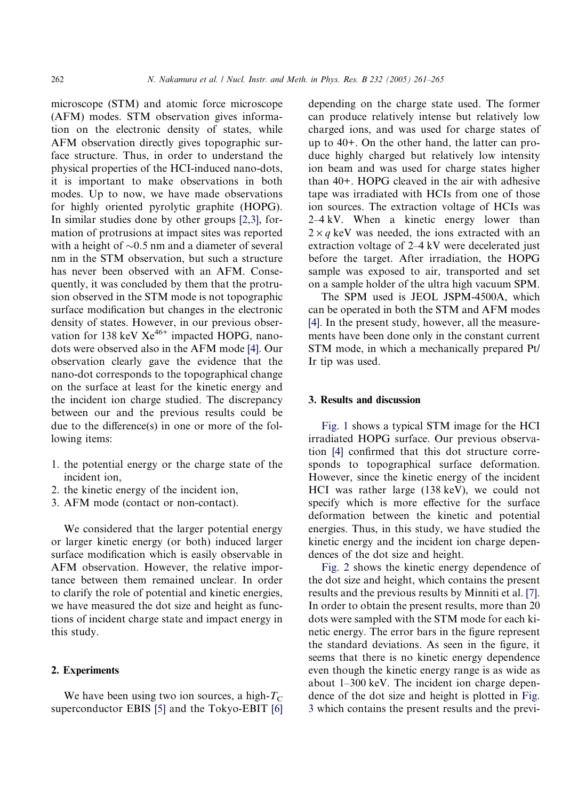microscope (STM) and atomic force microscope (AFM) modes. STM observation gives information on the electronic density of states, while AFM observation directly gives topographic surface structure. Thus, in order to understand the physical properties of the HCI-induced nano-dots, it is important to make observations in both modes. Up to now, we have made observations for highly oriented pyrolytic graphite (HOPG). In similar studies done by other groups [\[2,3\]](#page-3-0), formation of protrusions at impact sites was reported with a height of  $\sim 0.5$  nm and a diameter of several nm in the STM observation, but such a structure has never been observed with an AFM. Consequently, it was concluded by them that the protrusion observed in the STM mode is not topographic surface modification but changes in the electronic density of states. However, in our previous observation for 138 keV  $Xe^{46+}$  impacted HOPG, nano-dots were observed also in the AFM mode [\[4\]](#page-3-0). Our observation clearly gave the evidence that the nano-dot corresponds to the topographical change on the surface at least for the kinetic energy and the incident ion charge studied. The discrepancy between our and the previous results could be due to the difference(s) in one or more of the following items:

- 1. the potential energy or the charge state of the incident ion,
- 2. the kinetic energy of the incident ion,
- 3. AFM mode (contact or non-contact).

We considered that the larger potential energy or larger kinetic energy (or both) induced larger surface modification which is easily observable in AFM observation. However, the relative importance between them remained unclear. In order to clarify the role of potential and kinetic energies, we have measured the dot size and height as functions of incident charge state and impact energy in this study.

## 2. Experiments

We have been using two ion sources, a high- $T_{\rm C}$ superconductor EBIS [\[5\]](#page-3-0) and the Tokyo-EBIT [\[6\]](#page-3-0) depending on the charge state used. The former can produce relatively intense but relatively low charged ions, and was used for charge states of up to 40+. On the other hand, the latter can produce highly charged but relatively low intensity ion beam and was used for charge states higher than 40+. HOPG cleaved in the air with adhesive tape was irradiated with HCIs from one of those ion sources. The extraction voltage of HCIs was 2–4 kV. When a kinetic energy lower than  $2 \times q$  keV was needed, the ions extracted with an extraction voltage of 2–4 kV were decelerated just before the target. After irradiation, the HOPG sample was exposed to air, transported and set on a sample holder of the ultra high vacuum SPM.

The SPM used is JEOL JSPM-4500A, which can be operated in both the STM and AFM modes [\[4\].](#page-3-0) In the present study, however, all the measurements have been done only in the constant current STM mode, in which a mechanically prepared Pt/ Ir tip was used.

### 3. Results and discussion

[Fig. 1](#page-2-0) shows a typical STM image for the HCI irradiated HOPG surface. Our previous observation [\[4\]](#page-3-0) confirmed that this dot structure corresponds to topographical surface deformation. However, since the kinetic energy of the incident HCI was rather large (138 keV), we could not specify which is more effective for the surface deformation between the kinetic and potential energies. Thus, in this study, we have studied the kinetic energy and the incident ion charge dependences of the dot size and height.

[Fig. 2](#page-2-0) shows the kinetic energy dependence of the dot size and height, which contains the present results and the previous results by Minniti et al. [\[7\]](#page-3-0). In order to obtain the present results, more than 20 dots were sampled with the STM mode for each kinetic energy. The error bars in the figure represent the standard deviations. As seen in the figure, it seems that there is no kinetic energy dependence even though the kinetic energy range is as wide as about 1–300 keV. The incident ion charge dependence of the dot size and height is plotted in [Fig.](#page-3-0) [3](#page-3-0) which contains the present results and the previ-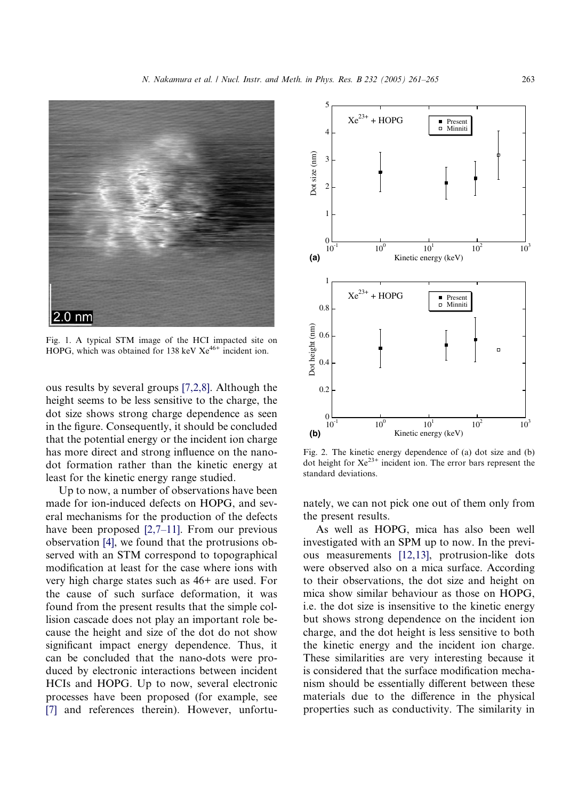<span id="page-2-0"></span>

Fig. 1. A typical STM image of the HCI impacted site on HOPG, which was obtained for 138 keV  $Xe^{46+}$  incident ion.

ous results by several groups [\[7,2,8\].](#page-3-0) Although the height seems to be less sensitive to the charge, the dot size shows strong charge dependence as seen in the figure. Consequently, it should be concluded that the potential energy or the incident ion charge has more direct and strong influence on the nanodot formation rather than the kinetic energy at least for the kinetic energy range studied.

Up to now, a number of observations have been made for ion-induced defects on HOPG, and several mechanisms for the production of the defects have been proposed [\[2,7–11\]](#page-3-0). From our previous observation [\[4\]](#page-3-0), we found that the protrusions observed with an STM correspond to topographical modification at least for the case where ions with very high charge states such as 46+ are used. For the cause of such surface deformation, it was found from the present results that the simple collision cascade does not play an important role because the height and size of the dot do not show significant impact energy dependence. Thus, it can be concluded that the nano-dots were produced by electronic interactions between incident HCIs and HOPG. Up to now, several electronic processes have been proposed (for example, see [\[7\]](#page-3-0) and references therein). However, unfortu-



Fig. 2. The kinetic energy dependence of (a) dot size and (b) dot height for  $Xe^{23+}$  incident ion. The error bars represent the standard deviations.

nately, we can not pick one out of them only from the present results.

As well as HOPG, mica has also been well investigated with an SPM up to now. In the previous measurements [\[12,13\],](#page-4-0) protrusion-like dots were observed also on a mica surface. According to their observations, the dot size and height on mica show similar behaviour as those on HOPG, i.e. the dot size is insensitive to the kinetic energy but shows strong dependence on the incident ion charge, and the dot height is less sensitive to both the kinetic energy and the incident ion charge. These similarities are very interesting because it is considered that the surface modification mechanism should be essentially different between these materials due to the difference in the physical properties such as conductivity. The similarity in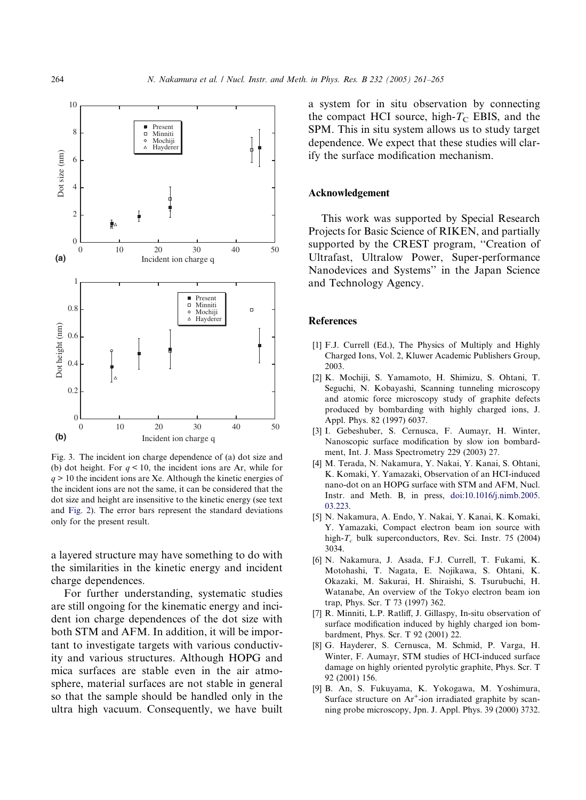<span id="page-3-0"></span>

Fig. 3. The incident ion charge dependence of (a) dot size and (b) dot height. For  $q < 10$ , the incident ions are Ar, while for  $q > 10$  the incident ions are Xe. Although the kinetic energies of the incident ions are not the same, it can be considered that the dot size and height are insensitive to the kinetic energy (see text and [Fig. 2](#page-2-0)). The error bars represent the standard deviations only for the present result.

a layered structure may have something to do with the similarities in the kinetic energy and incident charge dependences.

For further understanding, systematic studies are still ongoing for the kinematic energy and incident ion charge dependences of the dot size with both STM and AFM. In addition, it will be important to investigate targets with various conductivity and various structures. Although HOPG and mica surfaces are stable even in the air atmosphere, material surfaces are not stable in general so that the sample should be handled only in the ultra high vacuum. Consequently, we have built a system for in situ observation by connecting the compact HCI source, high- $T_{\rm C}$  EBIS, and the SPM. This in situ system allows us to study target dependence. We expect that these studies will clarify the surface modification mechanism.

## Acknowledgement

This work was supported by Special Research Projects for Basic Science of RIKEN, and partially supported by the CREST program, ''Creation of Ultrafast, Ultralow Power, Super-performance Nanodevices and Systems'' in the Japan Science and Technology Agency.

## References

- [1] F.J. Currell (Ed.), The Physics of Multiply and Highly Charged Ions, Vol. 2, Kluwer Academic Publishers Group, 2003.
- [2] K. Mochiji, S. Yamamoto, H. Shimizu, S. Ohtani, T. Seguchi, N. Kobayashi, Scanning tunneling microscopy and atomic force microscopy study of graphite defects produced by bombarding with highly charged ions, J. Appl. Phys. 82 (1997) 6037.
- [3] I. Gebeshuber, S. Cernusca, F. Aumayr, H. Winter, Nanoscopic surface modification by slow ion bombardment, Int. J. Mass Spectrometry 229 (2003) 27.
- [4] M. Terada, N. Nakamura, Y. Nakai, Y. Kanai, S. Ohtani, K. Komaki, Y. Yamazaki, Observation of an HCI-induced nano-dot on an HOPG surface with STM and AFM, Nucl. Instr. and Meth. B, in press, [doi:10.1016/j.nimb.2005.](http://dx.doi.org/10.1016/j.nimb.2005.03.223) [03.223.](http://dx.doi.org/10.1016/j.nimb.2005.03.223)
- [5] N. Nakamura, A. Endo, Y. Nakai, Y. Kanai, K. Komaki, Y. Yamazaki, Compact electron beam ion source with high- $T_c$  bulk superconductors, Rev. Sci. Instr. 75 (2004) 3034.
- [6] N. Nakamura, J. Asada, F.J. Currell, T. Fukami, K. Motohashi, T. Nagata, E. Nojikawa, S. Ohtani, K. Okazaki, M. Sakurai, H. Shiraishi, S. Tsurubuchi, H. Watanabe, An overview of the Tokyo electron beam ion trap, Phys. Scr. T 73 (1997) 362.
- [7] R. Minniti, L.P. Ratliff, J. Gillaspy, In-situ observation of surface modification induced by highly charged ion bombardment, Phys. Scr. T 92 (2001) 22.
- [8] G. Hayderer, S. Cernusca, M. Schmid, P. Varga, H. Winter, F. Aumayr, STM studies of HCI-induced surface damage on highly oriented pyrolytic graphite, Phys. Scr. T 92 (2001) 156.
- [9] B. An, S. Fukuyama, K. Yokogawa, M. Yoshimura, Surface structure on  $Ar^+$ -ion irradiated graphite by scanning probe microscopy, Jpn. J. Appl. Phys. 39 (2000) 3732.